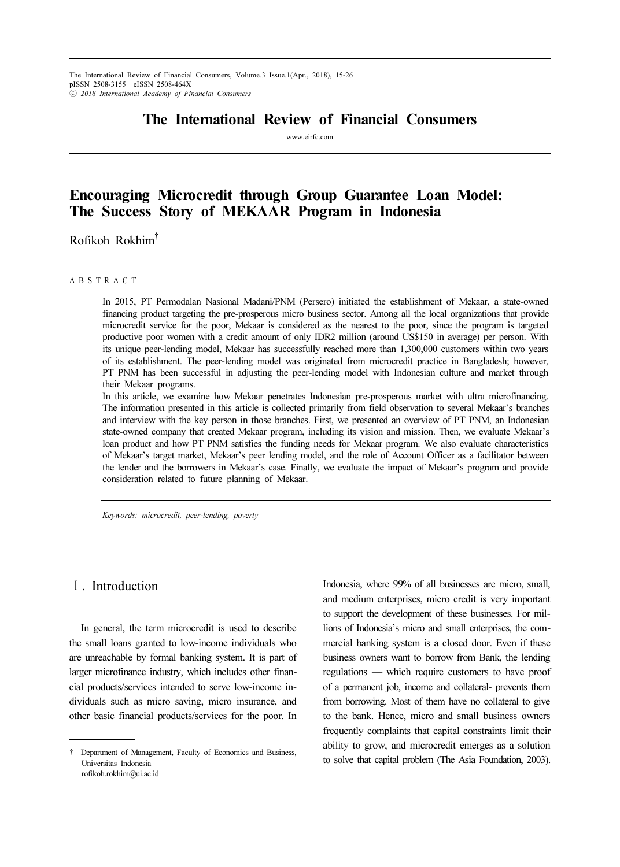## The International Review of Financial Consumers

www.eirfc.com

# Encouraging Microcredit through Group Guarantee Loan Model: The Success Story of MEKAAR Program in Indonesia

Rofikoh Rokhim†

#### A B S T R A C T

In 2015, PT Permodalan Nasional Madani/PNM (Persero) initiated the establishment of Mekaar, a state-owned financing product targeting the pre-prosperous micro business sector. Among all the local organizations that provide microcredit service for the poor, Mekaar is considered as the nearest to the poor, since the program is targeted productive poor women with a credit amount of only IDR2 million (around US\$150 in average) per person. With its unique peer-lending model, Mekaar has successfully reached more than 1,300,000 customers within two years of its establishment. The peer-lending model was originated from microcredit practice in Bangladesh; however, PT PNM has been successful in adjusting the peer-lending model with Indonesian culture and market through their Mekaar programs.

In this article, we examine how Mekaar penetrates Indonesian pre-prosperous market with ultra microfinancing. The information presented in this article is collected primarily from field observation to several Mekaar's branches and interview with the key person in those branches. First, we presented an overview of PT PNM, an Indonesian state-owned company that created Mekaar program, including its vision and mission. Then, we evaluate Mekaar's loan product and how PT PNM satisfies the funding needs for Mekaar program. We also evaluate characteristics of Mekaar's target market, Mekaar's peer lending model, and the role of Account Officer as a facilitator between the lender and the borrowers in Mekaar's case. Finally, we evaluate the impact of Mekaar's program and provide consideration related to future planning of Mekaar.

Keywords: microcredit, peer-lending, poverty

## Ⅰ. Introduction

In general, the term microcredit is used to describe the small loans granted to low-income individuals who are unreachable by formal banking system. It is part of larger microfinance industry, which includes other financial products/services intended to serve low-income individuals such as micro saving, micro insurance, and other basic financial products/services for the poor. In

Indonesia, where 99% of all businesses are micro, small, and medium enterprises, micro credit is very important to support the development of these businesses. For millions of Indonesia's micro and small enterprises, the commercial banking system is a closed door. Even if these business owners want to borrow from Bank, the lending regulations — which require customers to have proof of a permanent job, income and collateral- prevents them from borrowing. Most of them have no collateral to give to the bank. Hence, micro and small business owners frequently complaints that capital constraints limit their ability to grow, and microcredit emerges as a solution to solve that capital problem (The Asia Foundation, 2003).

<sup>†</sup> Department of Management, Faculty of Economics and Business, Universitas Indonesia rofikoh.rokhim@ui.ac.id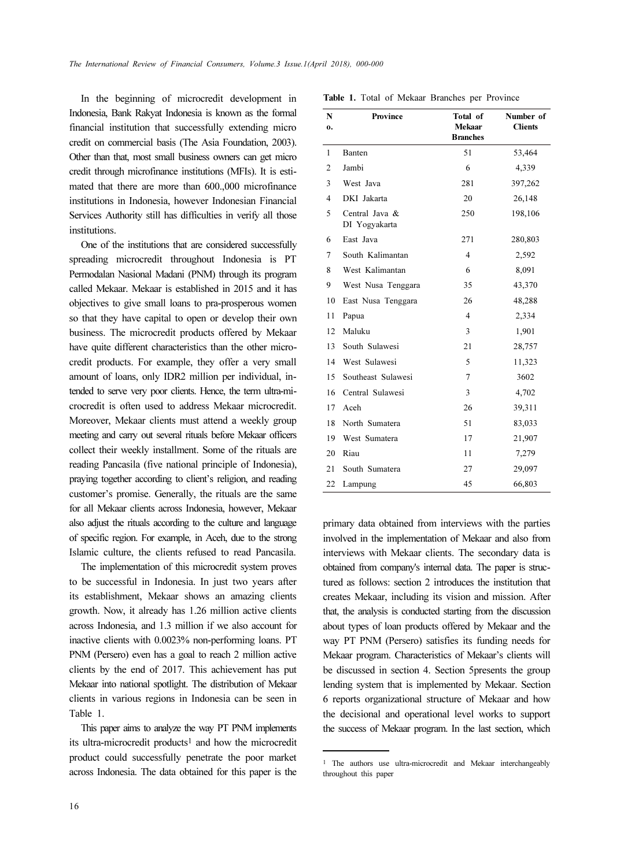In the beginning of microcredit development in Table 1. Total of Mekaar Branches per Province Indonesia, Bank Rakyat Indonesia is known as the formal financial institution that successfully extending micro credit on commercial basis (The Asia Foundation, 2003). Other than that, most small business owners can get micro credit through microfinance institutions (MFIs). It is estimated that there are more than 600.,000 microfinance institutions in Indonesia, however Indonesian Financial Services Authority still has difficulties in verify all those institutions.

One of the institutions that are considered successfully spreading microcredit throughout Indonesia is PT Permodalan Nasional Madani (PNM) through its program called Mekaar. Mekaar is established in 2015 and it has objectives to give small loans to pra-prosperous women so that they have capital to open or develop their own business. The microcredit products offered by Mekaar have quite different characteristics than the other microcredit products. For example, they offer a very small amount of loans, only IDR2 million per individual, intended to serve very poor clients. Hence, the term ultra-microcredit is often used to address Mekaar microcredit. Moreover, Mekaar clients must attend a weekly group meeting and carry out several rituals before Mekaar officers collect their weekly installment. Some of the rituals are reading Pancasila (five national principle of Indonesia), praying together according to client's religion, and reading customer's promise. Generally, the rituals are the same for all Mekaar clients across Indonesia, however, Mekaar also adjust the rituals according to the culture and language of specific region. For example, in Aceh, due to the strong Islamic culture, the clients refused to read Pancasila.

The implementation of this microcredit system proves to be successful in Indonesia. In just two years after its establishment, Mekaar shows an amazing clients growth. Now, it already has 1.26 million active clients across Indonesia, and 1.3 million if we also account for inactive clients with 0.0023% non-performing loans. PT PNM (Persero) even has a goal to reach 2 million active clients by the end of 2017. This achievement has put Mekaar into national spotlight. The distribution of Mekaar clients in various regions in Indonesia can be seen in Table 1.

This paper aims to analyze the way PT PNM implements its ultra-microcredit products<sup>1</sup> and how the microcredit product could successfully penetrate the poor market across Indonesia. The data obtained for this paper is the

| N              | <b>Province</b>                 | Total of                  | Number of      |
|----------------|---------------------------------|---------------------------|----------------|
| 0.             |                                 | Mekaar<br><b>Branches</b> | <b>Clients</b> |
| 1              | Banten                          | 51                        | 53,464         |
| $\overline{2}$ | Jambi                           | 6                         | 4,339          |
| 3              | West Java                       | 281                       | 397,262        |
| 4              | DKI Jakarta                     | 20                        | 26,148         |
| 5              | Central Java &<br>DI Yogyakarta | 250                       | 198,106        |
| 6              | East Java                       | 271                       | 280,803        |
| 7              | South Kalimantan                | 4                         | 2,592          |
| 8              | West Kalimantan                 | 6                         | 8,091          |
| 9              | West Nusa Tenggara              | 35                        | 43,370         |
| 10             | East Nusa Tenggara              | 26                        | 48,288         |
| 11             | Papua                           | $\overline{4}$            | 2,334          |
| 12             | Maluku                          | 3                         | 1,901          |
| 13             | South Sulawesi                  | 21                        | 28,757         |
| 14             | West Sulawesi                   | 5                         | 11,323         |
| 15             | Southeast Sulawesi              | $\overline{7}$            | 3602           |
| 16             | Central Sulawesi                | 3                         | 4,702          |
| 17             | Aceh                            | 26                        | 39,311         |
| 18             | North Sumatera                  | 51                        | 83,033         |
| 19             | West Sumatera                   | 17                        | 21,907         |
| 20             | Riau                            | 11                        | 7,279          |
| 21             | South Sumatera                  | 27                        | 29,097         |
| 22             | Lampung                         | 45                        | 66,803         |

primary data obtained from interviews with the parties involved in the implementation of Mekaar and also from interviews with Mekaar clients. The secondary data is obtained from company's internal data. The paper is structured as follows: section 2 introduces the institution that creates Mekaar, including its vision and mission. After that, the analysis is conducted starting from the discussion about types of loan products offered by Mekaar and the way PT PNM (Persero) satisfies its funding needs for Mekaar program. Characteristics of Mekaar's clients will be discussed in section 4. Section 5presents the group lending system that is implemented by Mekaar. Section 6 reports organizational structure of Mekaar and how the decisional and operational level works to support the success of Mekaar program. In the last section, which

<sup>1</sup> The authors use ultra-microcredit and Mekaar interchangeably throughout this paper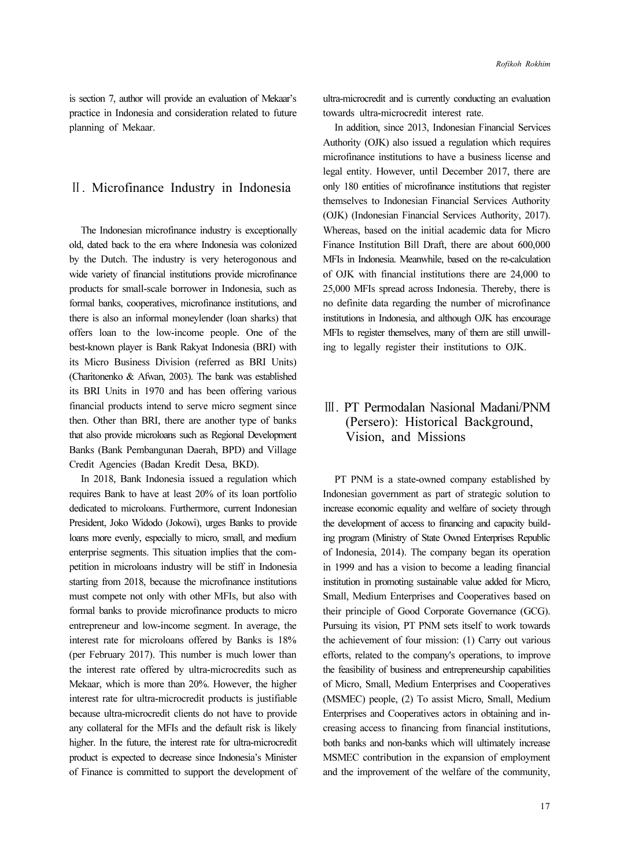is section 7, author will provide an evaluation of Mekaar's practice in Indonesia and consideration related to future planning of Mekaar.

## Ⅱ. Microfinance Industry in Indonesia

The Indonesian microfinance industry is exceptionally old, dated back to the era where Indonesia was colonized by the Dutch. The industry is very heterogonous and wide variety of financial institutions provide microfinance products for small-scale borrower in Indonesia, such as formal banks, cooperatives, microfinance institutions, and there is also an informal moneylender (loan sharks) that offers loan to the low-income people. One of the best-known player is Bank Rakyat Indonesia (BRI) with its Micro Business Division (referred as BRI Units) (Charitonenko & Afwan, 2003). The bank was established its BRI Units in 1970 and has been offering various financial products intend to serve micro segment since then. Other than BRI, there are another type of banks that also provide microloans such as Regional Development Banks (Bank Pembangunan Daerah, BPD) and Village Credit Agencies (Badan Kredit Desa, BKD).

In 2018, Bank Indonesia issued a regulation which requires Bank to have at least 20% of its loan portfolio dedicated to microloans. Furthermore, current Indonesian President, Joko Widodo (Jokowi), urges Banks to provide loans more evenly, especially to micro, small, and medium enterprise segments. This situation implies that the competition in microloans industry will be stiff in Indonesia starting from 2018, because the microfinance institutions must compete not only with other MFIs, but also with formal banks to provide microfinance products to micro entrepreneur and low-income segment. In average, the interest rate for microloans offered by Banks is 18% (per February 2017). This number is much lower than the interest rate offered by ultra-microcredits such as Mekaar, which is more than 20%. However, the higher interest rate for ultra-microcredit products is justifiable because ultra-microcredit clients do not have to provide any collateral for the MFIs and the default risk is likely higher. In the future, the interest rate for ultra-microcredit product is expected to decrease since Indonesia's Minister of Finance is committed to support the development of ultra-microcredit and is currently conducting an evaluation towards ultra-microcredit interest rate.

In addition, since 2013, Indonesian Financial Services Authority (OJK) also issued a regulation which requires microfinance institutions to have a business license and legal entity. However, until December 2017, there are only 180 entities of microfinance institutions that register themselves to Indonesian Financial Services Authority (OJK) (Indonesian Financial Services Authority, 2017). Whereas, based on the initial academic data for Micro Finance Institution Bill Draft, there are about 600,000 MFIs in Indonesia. Meanwhile, based on the re-calculation of OJK with financial institutions there are 24,000 to 25,000 MFIs spread across Indonesia. Thereby, there is no definite data regarding the number of microfinance institutions in Indonesia, and although OJK has encourage MFIs to register themselves, many of them are still unwilling to legally register their institutions to OJK.

## Ⅲ. PT Permodalan Nasional Madani/PNM (Persero): Historical Background, Vision, and Missions

PT PNM is a state-owned company established by Indonesian government as part of strategic solution to increase economic equality and welfare of society through the development of access to financing and capacity building program (Ministry of State Owned Enterprises Republic of Indonesia, 2014). The company began its operation in 1999 and has a vision to become a leading financial institution in promoting sustainable value added for Micro, Small, Medium Enterprises and Cooperatives based on their principle of Good Corporate Governance (GCG). Pursuing its vision, PT PNM sets itself to work towards the achievement of four mission: (1) Carry out various efforts, related to the company's operations, to improve the feasibility of business and entrepreneurship capabilities of Micro, Small, Medium Enterprises and Cooperatives (MSMEC) people, (2) To assist Micro, Small, Medium Enterprises and Cooperatives actors in obtaining and increasing access to financing from financial institutions, both banks and non-banks which will ultimately increase MSMEC contribution in the expansion of employment and the improvement of the welfare of the community,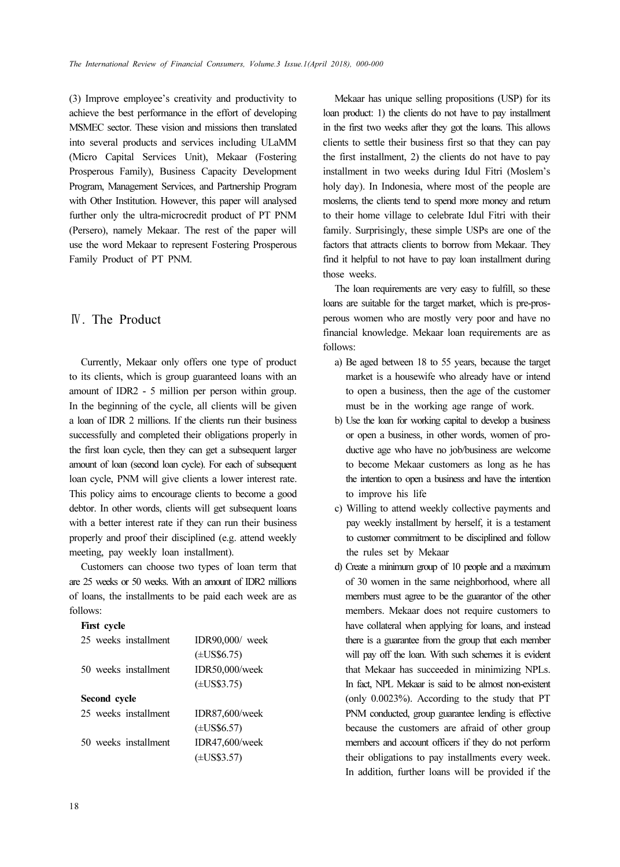(3) Improve employee's creativity and productivity to achieve the best performance in the effort of developing MSMEC sector. These vision and missions then translated into several products and services including ULaMM (Micro Capital Services Unit), Mekaar (Fostering Prosperous Family), Business Capacity Development Program, Management Services, and Partnership Program with Other Institution. However, this paper will analysed further only the ultra-microcredit product of PT PNM (Persero), namely Mekaar. The rest of the paper will use the word Mekaar to represent Fostering Prosperous Family Product of PT PNM.

#### Ⅳ. The Product

Currently, Mekaar only offers one type of product to its clients, which is group guaranteed loans with an amount of IDR2 - 5 million per person within group. In the beginning of the cycle, all clients will be given a loan of IDR 2 millions. If the clients run their business successfully and completed their obligations properly in the first loan cycle, then they can get a subsequent larger amount of loan (second loan cycle). For each of subsequent loan cycle, PNM will give clients a lower interest rate. This policy aims to encourage clients to become a good debtor. In other words, clients will get subsequent loans with a better interest rate if they can run their business properly and proof their disciplined (e.g. attend weekly meeting, pay weekly loan installment).

Customers can choose two types of loan term that are 25 weeks or 50 weeks. With an amount of IDR2 millions of loans, the installments to be paid each week are as follows:

#### First cycle

| 25 weeks installment | IDR90,000/ week         |  |  |  |
|----------------------|-------------------------|--|--|--|
|                      | $(\pm US$6.75)$         |  |  |  |
| 50 weeks installment | IDR50,000/week          |  |  |  |
|                      | $(\pm US$3.75)$         |  |  |  |
| Second cycle         |                         |  |  |  |
| 25 weeks installment | <b>IDR87,600/week</b>   |  |  |  |
|                      | $(\pm \text{US}\$6.57)$ |  |  |  |
| 50 weeks installment | IDR47,600/week          |  |  |  |
|                      | $(\pm US$3.57)$         |  |  |  |

Mekaar has unique selling propositions (USP) for its loan product: 1) the clients do not have to pay installment in the first two weeks after they got the loans. This allows clients to settle their business first so that they can pay the first installment, 2) the clients do not have to pay installment in two weeks during Idul Fitri (Moslem's holy day). In Indonesia, where most of the people are moslems, the clients tend to spend more money and return to their home village to celebrate Idul Fitri with their family. Surprisingly, these simple USPs are one of the factors that attracts clients to borrow from Mekaar. They find it helpful to not have to pay loan installment during those weeks.

The loan requirements are very easy to fulfill, so these loans are suitable for the target market, which is pre-prosperous women who are mostly very poor and have no financial knowledge. Mekaar loan requirements are as follows:

- a) Be aged between 18 to 55 years, because the target market is a housewife who already have or intend to open a business, then the age of the customer must be in the working age range of work.
- b) Use the loan for working capital to develop a business or open a business, in other words, women of productive age who have no job/business are welcome to become Mekaar customers as long as he has the intention to open a business and have the intention to improve his life
- c) Willing to attend weekly collective payments and pay weekly installment by herself, it is a testament to customer commitment to be disciplined and follow the rules set by Mekaar
- d) Create a minimum group of 10 people and a maximum of 30 women in the same neighborhood, where all members must agree to be the guarantor of the other members. Mekaar does not require customers to have collateral when applying for loans, and instead there is a guarantee from the group that each member will pay off the loan. With such schemes it is evident that Mekaar has succeeded in minimizing NPLs. In fact, NPL Mekaar is said to be almost non-existent (only 0.0023%). According to the study that PT PNM conducted, group guarantee lending is effective because the customers are afraid of other group members and account officers if they do not perform their obligations to pay installments every week. In addition, further loans will be provided if the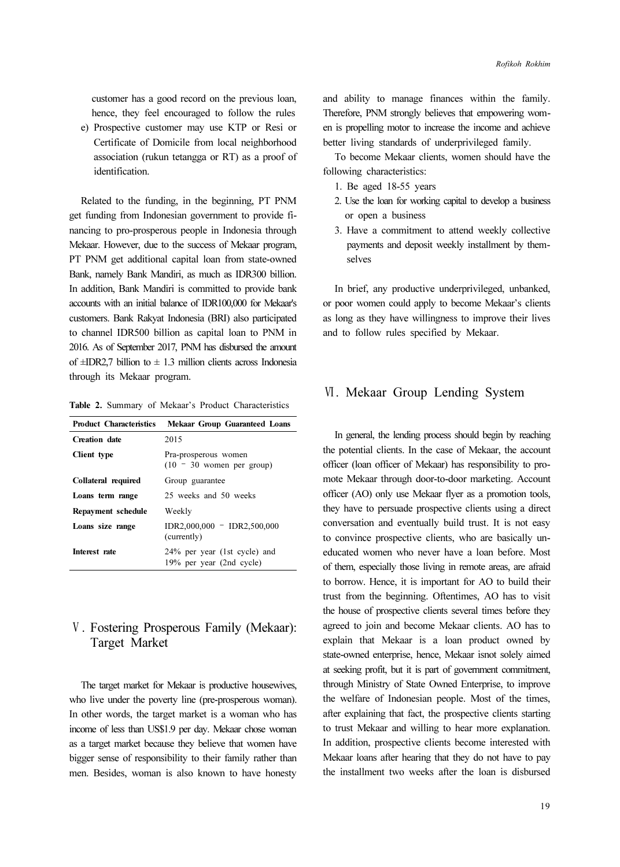customer has a good record on the previous loan, hence, they feel encouraged to follow the rules

e) Prospective customer may use KTP or Resi or Certificate of Domicile from local neighborhood association (rukun tetangga or RT) as a proof of identification.

Related to the funding, in the beginning, PT PNM get funding from Indonesian government to provide financing to pro-prosperous people in Indonesia through Mekaar. However, due to the success of Mekaar program, PT PNM get additional capital loan from state-owned Bank, namely Bank Mandiri, as much as IDR300 billion. In addition, Bank Mandiri is committed to provide bank accounts with an initial balance of IDR100,000 for Mekaar's customers. Bank Rakyat Indonesia (BRI) also participated to channel IDR500 billion as capital loan to PNM in 2016. As of September 2017, PNM has disbursed the amount of  $\pm$ IDR2,7 billion to  $\pm$  1.3 million clients across Indonesia through its Mekaar program.

Table 2. Summary of Mekaar's Product Characteristics

| <b>Product Characteristics</b> | Mekaar Group Guaranteed Loans                            |  |
|--------------------------------|----------------------------------------------------------|--|
| <b>Creation</b> date           | 2015                                                     |  |
| Client type                    | Pra-prosperous women<br>$(10 - 30$ women per group)      |  |
| Collateral required            | Group guarantee                                          |  |
| Loans term range               | 25 weeks and 50 weeks                                    |  |
| Repayment schedule             | Weekly                                                   |  |
| Loans size range               | $IDR2,000,000 - IDR2,500,000$<br>(currently)             |  |
| Interest rate                  | 24% per year (1st cycle) and<br>19% per year (2nd cycle) |  |

## Ⅴ. Fostering Prosperous Family (Mekaar): Target Market

The target market for Mekaar is productive housewives, who live under the poverty line (pre-prosperous woman). In other words, the target market is a woman who has income of less than US\$1.9 per day. Mekaar chose woman as a target market because they believe that women have bigger sense of responsibility to their family rather than men. Besides, woman is also known to have honesty and ability to manage finances within the family. Therefore, PNM strongly believes that empowering women is propelling motor to increase the income and achieve better living standards of underprivileged family.

To become Mekaar clients, women should have the following characteristics:

- 1. Be aged 18-55 years
- 2. Use the loan for working capital to develop a business or open a business
- 3. Have a commitment to attend weekly collective payments and deposit weekly installment by themselves

In brief, any productive underprivileged, unbanked, or poor women could apply to become Mekaar's clients as long as they have willingness to improve their lives and to follow rules specified by Mekaar.

## Ⅵ. Mekaar Group Lending System

In general, the lending process should begin by reaching the potential clients. In the case of Mekaar, the account officer (loan officer of Mekaar) has responsibility to promote Mekaar through door-to-door marketing. Account officer (AO) only use Mekaar flyer as a promotion tools, they have to persuade prospective clients using a direct conversation and eventually build trust. It is not easy to convince prospective clients, who are basically uneducated women who never have a loan before. Most of them, especially those living in remote areas, are afraid to borrow. Hence, it is important for AO to build their trust from the beginning. Oftentimes, AO has to visit the house of prospective clients several times before they agreed to join and become Mekaar clients. AO has to explain that Mekaar is a loan product owned by state-owned enterprise, hence, Mekaar isnot solely aimed at seeking profit, but it is part of government commitment, through Ministry of State Owned Enterprise, to improve the welfare of Indonesian people. Most of the times, after explaining that fact, the prospective clients starting to trust Mekaar and willing to hear more explanation. In addition, prospective clients become interested with Mekaar loans after hearing that they do not have to pay the installment two weeks after the loan is disbursed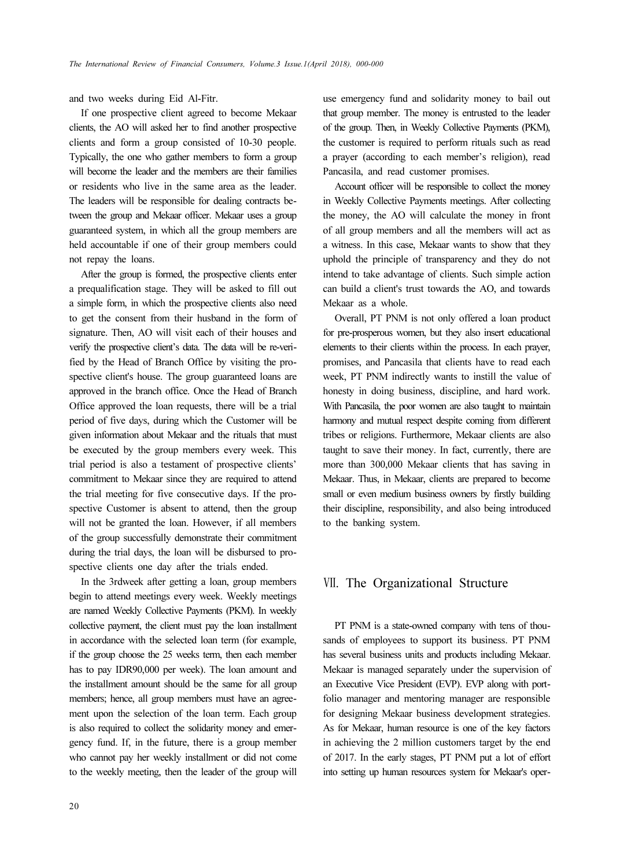and two weeks during Eid Al-Fitr.

If one prospective client agreed to become Mekaar clients, the AO will asked her to find another prospective clients and form a group consisted of 10-30 people. Typically, the one who gather members to form a group will become the leader and the members are their families or residents who live in the same area as the leader. The leaders will be responsible for dealing contracts between the group and Mekaar officer. Mekaar uses a group guaranteed system, in which all the group members are held accountable if one of their group members could not repay the loans.

After the group is formed, the prospective clients enter a prequalification stage. They will be asked to fill out a simple form, in which the prospective clients also need to get the consent from their husband in the form of signature. Then, AO will visit each of their houses and verify the prospective client's data. The data will be re-verified by the Head of Branch Office by visiting the prospective client's house. The group guaranteed loans are approved in the branch office. Once the Head of Branch Office approved the loan requests, there will be a trial period of five days, during which the Customer will be given information about Mekaar and the rituals that must be executed by the group members every week. This trial period is also a testament of prospective clients' commitment to Mekaar since they are required to attend the trial meeting for five consecutive days. If the prospective Customer is absent to attend, then the group will not be granted the loan. However, if all members of the group successfully demonstrate their commitment during the trial days, the loan will be disbursed to prospective clients one day after the trials ended.

In the 3rdweek after getting a loan, group members begin to attend meetings every week. Weekly meetings are named Weekly Collective Payments (PKM). In weekly collective payment, the client must pay the loan installment in accordance with the selected loan term (for example, if the group choose the 25 weeks term, then each member has to pay IDR90,000 per week). The loan amount and the installment amount should be the same for all group members; hence, all group members must have an agreement upon the selection of the loan term. Each group is also required to collect the solidarity money and emergency fund. If, in the future, there is a group member who cannot pay her weekly installment or did not come to the weekly meeting, then the leader of the group will

use emergency fund and solidarity money to bail out that group member. The money is entrusted to the leader of the group. Then, in Weekly Collective Payments (PKM), the customer is required to perform rituals such as read a prayer (according to each member's religion), read Pancasila, and read customer promises.

Account officer will be responsible to collect the money in Weekly Collective Payments meetings. After collecting the money, the AO will calculate the money in front of all group members and all the members will act as a witness. In this case, Mekaar wants to show that they uphold the principle of transparency and they do not intend to take advantage of clients. Such simple action can build a client's trust towards the AO, and towards Mekaar as a whole.

Overall, PT PNM is not only offered a loan product for pre-prosperous women, but they also insert educational elements to their clients within the process. In each prayer, promises, and Pancasila that clients have to read each week, PT PNM indirectly wants to instill the value of honesty in doing business, discipline, and hard work. With Pancasila, the poor women are also taught to maintain harmony and mutual respect despite coming from different tribes or religions. Furthermore, Mekaar clients are also taught to save their money. In fact, currently, there are more than 300,000 Mekaar clients that has saving in Mekaar. Thus, in Mekaar, clients are prepared to become small or even medium business owners by firstly building their discipline, responsibility, and also being introduced to the banking system.

### Ⅶ. The Organizational Structure

PT PNM is a state-owned company with tens of thousands of employees to support its business. PT PNM has several business units and products including Mekaar. Mekaar is managed separately under the supervision of an Executive Vice President (EVP). EVP along with portfolio manager and mentoring manager are responsible for designing Mekaar business development strategies. As for Mekaar, human resource is one of the key factors in achieving the 2 million customers target by the end of 2017. In the early stages, PT PNM put a lot of effort into setting up human resources system for Mekaar's oper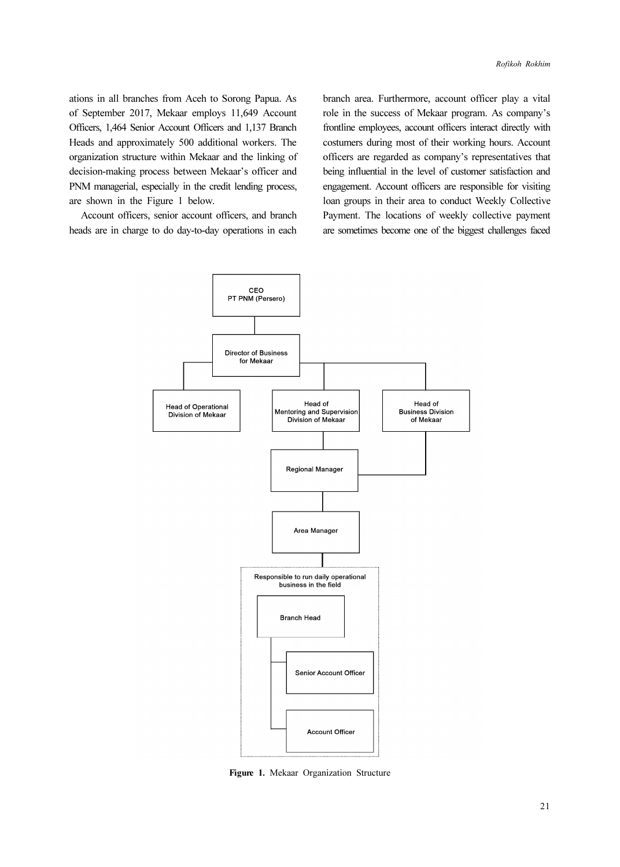ations in all branches from Aceh to Sorong Papua. As of September 2017, Mekaar employs 11,649 Account Officers, 1,464 Senior Account Officers and 1,137 Branch Heads and approximately 500 additional workers. The organization structure within Mekaar and the linking of decision-making process between Mekaar's officer and PNM managerial, especially in the credit lending process, are shown in the Figure 1 below.

Account officers, senior account officers, and branch heads are in charge to do day-to-day operations in each

branch area. Furthermore, account officer play a vital role in the success of Mekaar program. As company's frontline employees, account officers interact directly with costumers during most of their working hours. Account officers are regarded as company's representatives that being influential in the level of customer satisfaction and engagement. Account officers are responsible for visiting loan groups in their area to conduct Weekly Collective Payment. The locations of weekly collective payment are sometimes become one of the biggest challenges faced



Figure 1. Mekaar Organization Structure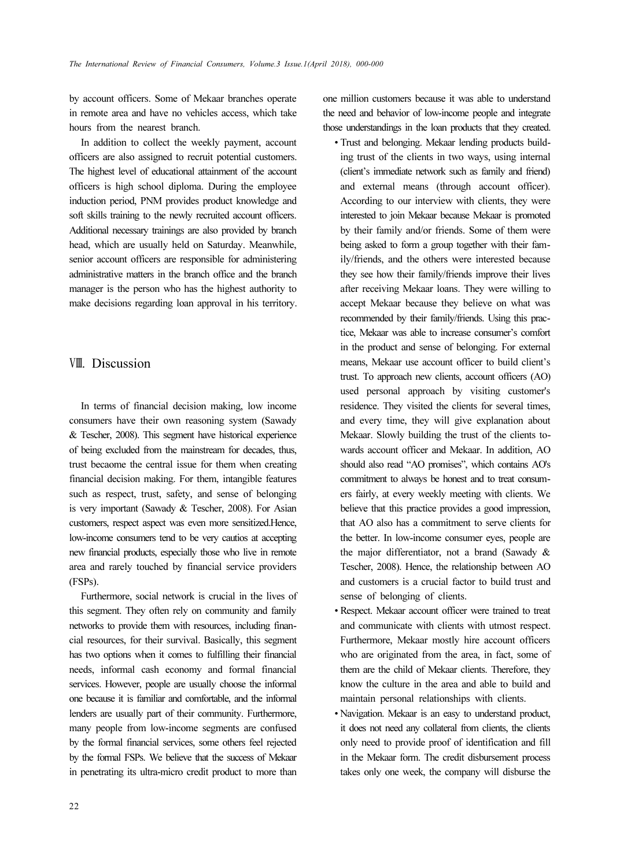by account officers. Some of Mekaar branches operate in remote area and have no vehicles access, which take hours from the nearest branch.

In addition to collect the weekly payment, account officers are also assigned to recruit potential customers. The highest level of educational attainment of the account officers is high school diploma. During the employee induction period, PNM provides product knowledge and soft skills training to the newly recruited account officers. Additional necessary trainings are also provided by branch head, which are usually held on Saturday. Meanwhile, senior account officers are responsible for administering administrative matters in the branch office and the branch manager is the person who has the highest authority to make decisions regarding loan approval in his territory.

#### Ⅷ. Discussion

In terms of financial decision making, low income consumers have their own reasoning system (Sawady & Tescher, 2008). This segment have historical experience of being excluded from the mainstream for decades, thus, trust becaome the central issue for them when creating financial decision making. For them, intangible features such as respect, trust, safety, and sense of belonging is very important (Sawady & Tescher, 2008). For Asian customers, respect aspect was even more sensitized.Hence, low-income consumers tend to be very cautios at accepting new financial products, especially those who live in remote area and rarely touched by financial service providers (FSPs).

Furthermore, social network is crucial in the lives of this segment. They often rely on community and family networks to provide them with resources, including financial resources, for their survival. Basically, this segment has two options when it comes to fulfilling their financial needs, informal cash economy and formal financial services. However, people are usually choose the informal one because it is familiar and comfortable, and the informal lenders are usually part of their community. Furthermore, many people from low-income segments are confused by the formal financial services, some others feel rejected by the formal FSPs. We believe that the success of Mekaar in penetrating its ultra-micro credit product to more than

one million customers because it was able to understand the need and behavior of low-income people and integrate those understandings in the loan products that they created.

- Trust and belonging. Mekaar lending products building trust of the clients in two ways, using internal (client's immediate network such as family and friend) and external means (through account officer). According to our interview with clients, they were interested to join Mekaar because Mekaar is promoted by their family and/or friends. Some of them were being asked to form a group together with their family/friends, and the others were interested because they see how their family/friends improve their lives after receiving Mekaar loans. They were willing to accept Mekaar because they believe on what was recommended by their family/friends. Using this practice, Mekaar was able to increase consumer's comfort in the product and sense of belonging. For external means, Mekaar use account officer to build client's trust. To approach new clients, account officers (AO) used personal approach by visiting customer's residence. They visited the clients for several times, and every time, they will give explanation about Mekaar. Slowly building the trust of the clients towards account officer and Mekaar. In addition, AO should also read "AO promises", which contains AO's commitment to always be honest and to treat consumers fairly, at every weekly meeting with clients. We believe that this practice provides a good impression, that AO also has a commitment to serve clients for the better. In low-income consumer eyes, people are the major differentiator, not a brand (Sawady & Tescher, 2008). Hence, the relationship between AO and customers is a crucial factor to build trust and sense of belonging of clients.
- Respect. Mekaar account officer were trained to treat and communicate with clients with utmost respect. Furthermore, Mekaar mostly hire account officers who are originated from the area, in fact, some of them are the child of Mekaar clients. Therefore, they know the culture in the area and able to build and maintain personal relationships with clients.
- Navigation. Mekaar is an easy to understand product, it does not need any collateral from clients, the clients only need to provide proof of identification and fill in the Mekaar form. The credit disbursement process takes only one week, the company will disburse the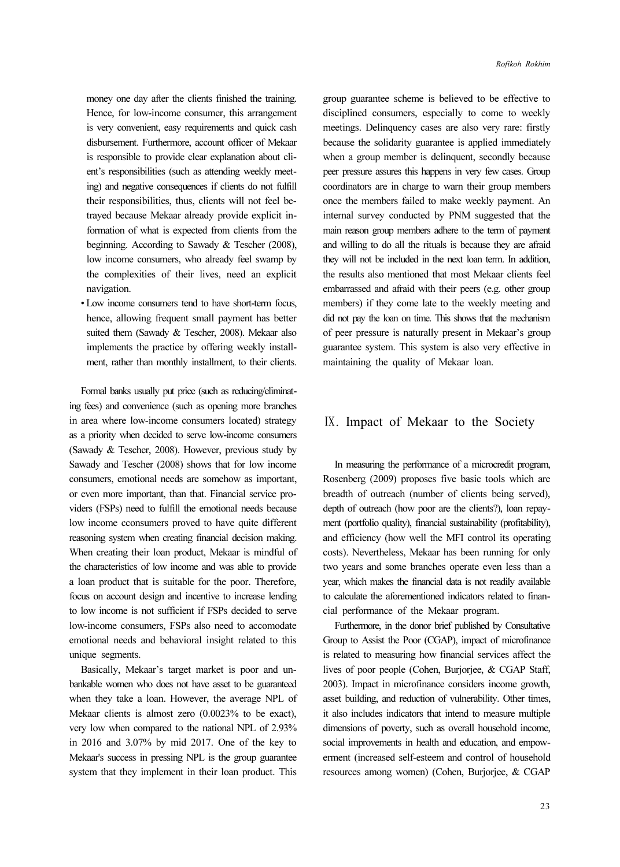money one day after the clients finished the training. Hence, for low-income consumer, this arrangement is very convenient, easy requirements and quick cash disbursement. Furthermore, account officer of Mekaar is responsible to provide clear explanation about client's responsibilities (such as attending weekly meeting) and negative consequences if clients do not fulfill their responsibilities, thus, clients will not feel betrayed because Mekaar already provide explicit information of what is expected from clients from the beginning. According to Sawady & Tescher (2008), low income consumers, who already feel swamp by the complexities of their lives, need an explicit navigation.

• Low income consumers tend to have short-term focus, hence, allowing frequent small payment has better suited them (Sawady & Tescher, 2008). Mekaar also implements the practice by offering weekly installment, rather than monthly installment, to their clients.

Formal banks usually put price (such as reducing/eliminating fees) and convenience (such as opening more branches in area where low-income consumers located) strategy as a priority when decided to serve low-income consumers (Sawady & Tescher, 2008). However, previous study by Sawady and Tescher (2008) shows that for low income consumers, emotional needs are somehow as important, or even more important, than that. Financial service providers (FSPs) need to fulfill the emotional needs because low income cconsumers proved to have quite different reasoning system when creating financial decision making. When creating their loan product, Mekaar is mindful of the characteristics of low income and was able to provide a loan product that is suitable for the poor. Therefore, focus on account design and incentive to increase lending to low income is not sufficient if FSPs decided to serve low-income consumers, FSPs also need to accomodate emotional needs and behavioral insight related to this unique segments.

Basically, Mekaar's target market is poor and unbankable women who does not have asset to be guaranteed when they take a loan. However, the average NPL of Mekaar clients is almost zero (0.0023% to be exact), very low when compared to the national NPL of 2.93% in 2016 and 3.07% by mid 2017. One of the key to Mekaar's success in pressing NPL is the group guarantee system that they implement in their loan product. This

group guarantee scheme is believed to be effective to disciplined consumers, especially to come to weekly meetings. Delinquency cases are also very rare: firstly because the solidarity guarantee is applied immediately when a group member is delinquent, secondly because peer pressure assures this happens in very few cases. Group coordinators are in charge to warn their group members once the members failed to make weekly payment. An internal survey conducted by PNM suggested that the main reason group members adhere to the term of payment and willing to do all the rituals is because they are afraid they will not be included in the next loan term. In addition, the results also mentioned that most Mekaar clients feel embarrassed and afraid with their peers (e.g. other group members) if they come late to the weekly meeting and did not pay the loan on time. This shows that the mechanism of peer pressure is naturally present in Mekaar's group guarantee system. This system is also very effective in maintaining the quality of Mekaar loan.

#### Ⅸ. Impact of Mekaar to the Society

In measuring the performance of a microcredit program, Rosenberg (2009) proposes five basic tools which are breadth of outreach (number of clients being served), depth of outreach (how poor are the clients?), loan repayment (portfolio quality), financial sustainability (profitability), and efficiency (how well the MFI control its operating costs). Nevertheless, Mekaar has been running for only two years and some branches operate even less than a year, which makes the financial data is not readily available to calculate the aforementioned indicators related to financial performance of the Mekaar program.

Furthermore, in the donor brief published by Consultative Group to Assist the Poor (CGAP), impact of microfinance is related to measuring how financial services affect the lives of poor people (Cohen, Burjorjee, & CGAP Staff, 2003). Impact in microfinance considers income growth, asset building, and reduction of vulnerability. Other times, it also includes indicators that intend to measure multiple dimensions of poverty, such as overall household income, social improvements in health and education, and empowerment (increased self-esteem and control of household resources among women) (Cohen, Burjorjee, & CGAP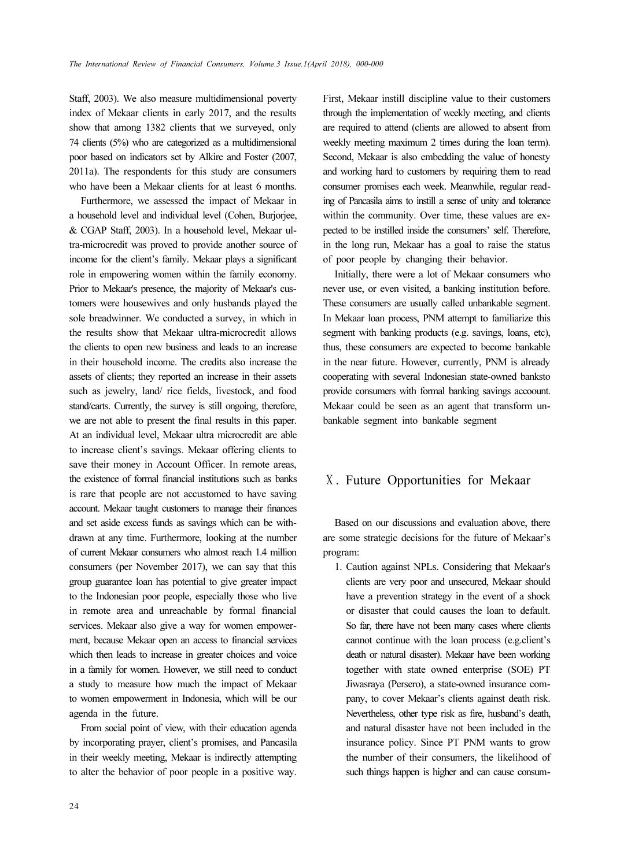Staff, 2003). We also measure multidimensional poverty index of Mekaar clients in early 2017, and the results show that among 1382 clients that we surveyed, only 74 clients (5%) who are categorized as a multidimensional poor based on indicators set by Alkire and Foster (2007, 2011a). The respondents for this study are consumers who have been a Mekaar clients for at least 6 months.

Furthermore, we assessed the impact of Mekaar in a household level and individual level (Cohen, Burjorjee, & CGAP Staff, 2003). In a household level, Mekaar ultra-microcredit was proved to provide another source of income for the client's family. Mekaar plays a significant role in empowering women within the family economy. Prior to Mekaar's presence, the majority of Mekaar's customers were housewives and only husbands played the sole breadwinner. We conducted a survey, in which in the results show that Mekaar ultra-microcredit allows the clients to open new business and leads to an increase in their household income. The credits also increase the assets of clients; they reported an increase in their assets such as jewelry, land/ rice fields, livestock, and food stand/carts. Currently, the survey is still ongoing, therefore, we are not able to present the final results in this paper. At an individual level, Mekaar ultra microcredit are able to increase client's savings. Mekaar offering clients to save their money in Account Officer. In remote areas, the existence of formal financial institutions such as banks is rare that people are not accustomed to have saving account. Mekaar taught customers to manage their finances and set aside excess funds as savings which can be withdrawn at any time. Furthermore, looking at the number of current Mekaar consumers who almost reach 1.4 million consumers (per November 2017), we can say that this group guarantee loan has potential to give greater impact to the Indonesian poor people, especially those who live in remote area and unreachable by formal financial services. Mekaar also give a way for women empowerment, because Mekaar open an access to financial services which then leads to increase in greater choices and voice in a family for women. However, we still need to conduct a study to measure how much the impact of Mekaar to women empowerment in Indonesia, which will be our agenda in the future.

From social point of view, with their education agenda by incorporating prayer, client's promises, and Pancasila in their weekly meeting, Mekaar is indirectly attempting to alter the behavior of poor people in a positive way.

First, Mekaar instill discipline value to their customers through the implementation of weekly meeting, and clients are required to attend (clients are allowed to absent from weekly meeting maximum 2 times during the loan term). Second, Mekaar is also embedding the value of honesty and working hard to customers by requiring them to read consumer promises each week. Meanwhile, regular reading of Pancasila aims to instill a sense of unity and tolerance within the community. Over time, these values are expected to be instilled inside the consumers' self. Therefore, in the long run, Mekaar has a goal to raise the status of poor people by changing their behavior.

Initially, there were a lot of Mekaar consumers who never use, or even visited, a banking institution before. These consumers are usually called unbankable segment. In Mekaar loan process, PNM attempt to familiarize this segment with banking products (e.g. savings, loans, etc), thus, these consumers are expected to become bankable in the near future. However, currently, PNM is already cooperating with several Indonesian state-owned banksto provide consumers with formal banking savings accoount. Mekaar could be seen as an agent that transform unbankable segment into bankable segment

#### Ⅹ. Future Opportunities for Mekaar

Based on our discussions and evaluation above, there are some strategic decisions for the future of Mekaar's program:

1. Caution against NPLs. Considering that Mekaar's clients are very poor and unsecured, Mekaar should have a prevention strategy in the event of a shock or disaster that could causes the loan to default. So far, there have not been many cases where clients cannot continue with the loan process (e.g.client's death or natural disaster). Mekaar have been working together with state owned enterprise (SOE) PT Jiwasraya (Persero), a state-owned insurance company, to cover Mekaar's clients against death risk. Nevertheless, other type risk as fire, husband's death, and natural disaster have not been included in the insurance policy. Since PT PNM wants to grow the number of their consumers, the likelihood of such things happen is higher and can cause consum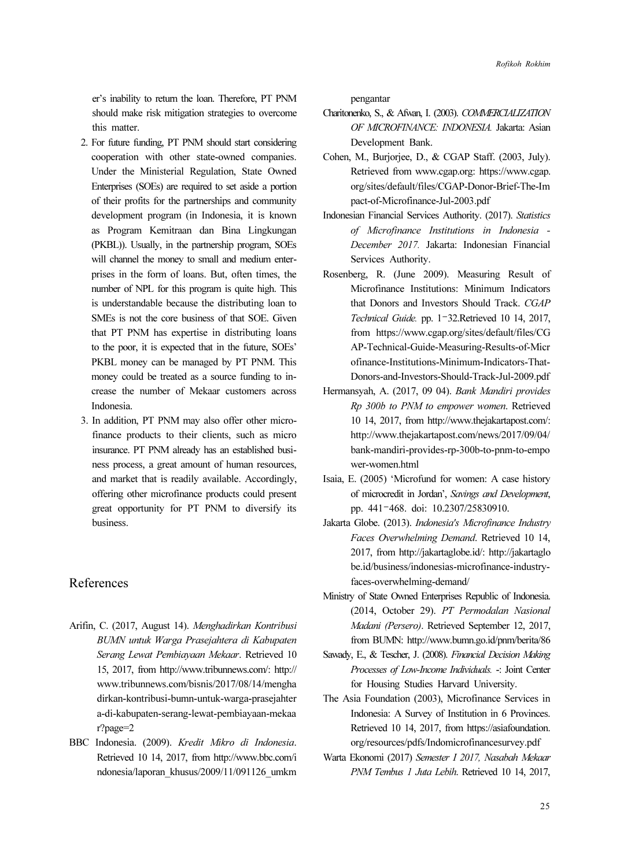er's inability to return the loan. Therefore, PT PNM should make risk mitigation strategies to overcome this matter.

- 2. For future funding, PT PNM should start considering cooperation with other state-owned companies. Under the Ministerial Regulation, State Owned Enterprises (SOEs) are required to set aside a portion of their profits for the partnerships and community development program (in Indonesia, it is known as Program Kemitraan dan Bina Lingkungan (PKBL)). Usually, in the partnership program, SOEs will channel the money to small and medium enterprises in the form of loans. But, often times, the number of NPL for this program is quite high. This is understandable because the distributing loan to SMEs is not the core business of that SOE. Given that PT PNM has expertise in distributing loans to the poor, it is expected that in the future, SOEs' PKBL money can be managed by PT PNM. This money could be treated as a source funding to increase the number of Mekaar customers across Indonesia.
- 3. In addition, PT PNM may also offer other microfinance products to their clients, such as micro insurance. PT PNM already has an established business process, a great amount of human resources, and market that is readily available. Accordingly, offering other microfinance products could present great opportunity for PT PNM to diversify its business.

### References

- Arifin, C. (2017, August 14). Menghadirkan Kontribusi BUMN untuk Warga Prasejahtera di Kabupaten Serang Lewat Pembiayaan Mekaar. Retrieved 10 15, 2017, from http://www.tribunnews.com/: http:// www.tribunnews.com/bisnis/2017/08/14/mengha dirkan-kontribusi-bumn-untuk-warga-prasejahter a-di-kabupaten-serang-lewat-pembiayaan-mekaa r?page=2
- BBC Indonesia. (2009). Kredit Mikro di Indonesia. Retrieved 10 14, 2017, from http://www.bbc.com/i ndonesia/laporan\_khusus/2009/11/091126\_umkm

pengantar

- Charitonenko, S., & Afwan, I. (2003). COMMERCIALIZATION OF MICROFINANCE: INDONESIA. Jakarta: Asian Development Bank.
- Cohen, M., Burjorjee, D., & CGAP Staff. (2003, July). Retrieved from www.cgap.org: https://www.cgap. org/sites/default/files/CGAP-Donor-Brief-The-Im pact-of-Microfinance-Jul-2003.pdf
- Indonesian Financial Services Authority. (2017). Statistics of Microfinance Institutions in Indonesia - December 2017. Jakarta: Indonesian Financial Services Authority.
- Rosenberg, R. (June 2009). Measuring Result of Microfinance Institutions: Minimum Indicators that Donors and Investors Should Track. CGAP Technical Guide. pp. 1–32.Retrieved 10 14, 2017, from https://www.cgap.org/sites/default/files/CG AP-Technical-Guide-Measuring-Results-of-Micr ofinance-Institutions-Minimum-Indicators-That-Donors-and-Investors-Should-Track-Jul-2009.pdf
- Hermansyah, A. (2017, 09 04). Bank Mandiri provides Rp 300b to PNM to empower women. Retrieved 10 14, 2017, from http://www.thejakartapost.com/: http://www.thejakartapost.com/news/2017/09/04/ bank-mandiri-provides-rp-300b-to-pnm-to-empo wer-women.html
- Isaia, E. (2005) 'Microfund for women: A case history of microcredit in Jordan', Savings and Development, pp. 441–468. doi: 10.2307/25830910.
- Jakarta Globe. (2013). Indonesia's Microfinance Industry Faces Overwhelming Demand. Retrieved 10 14, 2017, from http://jakartaglobe.id/: http://jakartaglo be.id/business/indonesias-microfinance-industryfaces-overwhelming-demand/
- Ministry of State Owned Enterprises Republic of Indonesia. (2014, October 29). PT Permodalan Nasional Madani (Persero). Retrieved September 12, 2017, from BUMN: http://www.bumn.go.id/pnm/berita/86
- Sawady, E., & Tescher, J. (2008). Financial Decision Making Processes of Low-Income Individuals. -: Joint Center for Housing Studies Harvard University.
- The Asia Foundation (2003), Microfinance Services in Indonesia: A Survey of Institution in 6 Provinces. Retrieved 10 14, 2017, from https://asiafoundation. org/resources/pdfs/Indomicrofinancesurvey.pdf
- Warta Ekonomi (2017) Semester I 2017, Nasabah Mekaar PNM Tembus 1 Juta Lebih. Retrieved 10 14, 2017,